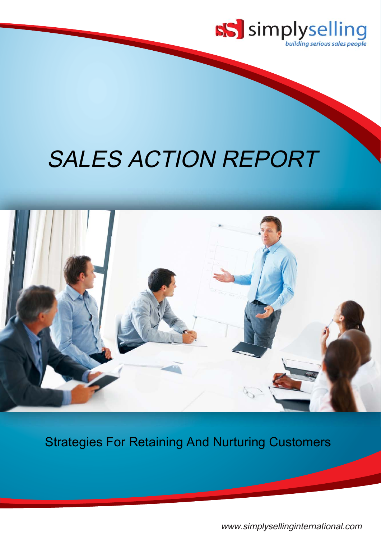

# SALES ACTION REPORT



Strategies For Retaining And Nurturing Customers

<www.simplysellinginternational.com>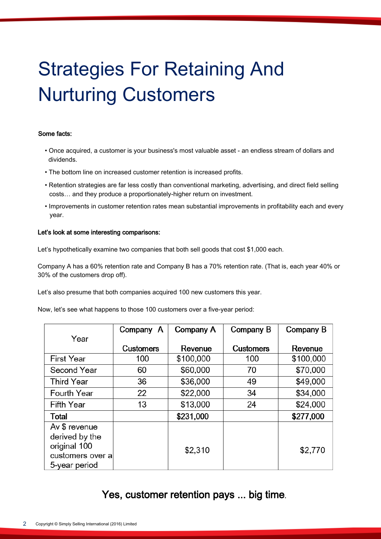## Strategies For Retaining And Nurturing Customers

#### Some facts:

- Once acquired, a customer is your business's most valuable asset an endless stream of dollars and dividends.
- The bottom line on increased customer retention is increased profits.
- Retention strategies are far less costly than conventional marketing, advertising, and direct field selling costs… and they produce a proportionately-higher return on investment.
- Improvements in customer retention rates mean substantial improvements in profitability each and every year.

#### Let's look at some interesting comparisons:

Let's hypothetically examine two companies that both sell goods that cost \$1,000 each.

Company A has a 60% retention rate and Company B has a 70% retention rate. (That is, each year 40% or 30% of the customers drop off).

Let's also presume that both companies acquired 100 new customers this year.

Now, let's see what happens to those 100 customers over a five-year period:

|                   | Company A        | Company A | Company B        | Company B |
|-------------------|------------------|-----------|------------------|-----------|
| Year              |                  |           |                  |           |
|                   | <b>Customers</b> | Revenue   | <b>Customers</b> | Revenue   |
| <b>First Year</b> | 100              | \$100,000 | 100              | \$100,000 |
| Second Year       | 60               | \$60,000  | 70               | \$70,000  |
| <b>Third Year</b> | 36               | \$36,000  | 49               | \$49,000  |
| Fourth Year       | 22               | \$22,000  | 34               | \$34,000  |
| Fifth Year        | 13               | \$13,000  | 24               | \$24,000  |
| Total             |                  | \$231,000 |                  | \$277,000 |
| Av \$ revenue     |                  |           |                  |           |
| derived by the    |                  |           |                  |           |
| original 100      |                  | \$2,310   |                  | \$2,770   |
| customers over a  |                  |           |                  |           |
| 5-year period     |                  |           |                  |           |

## Yes, customer retention pays ... big time.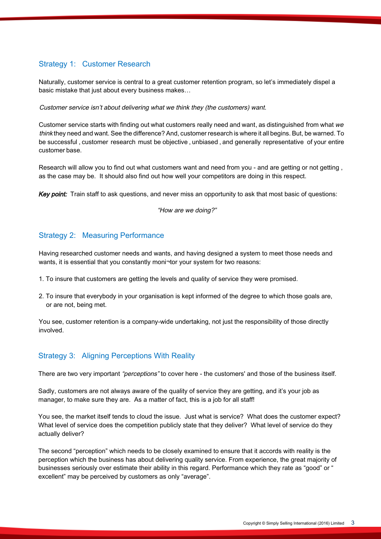## Strategy 1: Customer Research

Naturally, customer service is central to a great customer retention program, so let's immediately dispel a basic mistake that just about every business makes…

Customer service isn't about delivering what we think they (the customers) want.

Customer service starts with finding out what customers really need and want, as distinguished from what we think they need and want. See the difference? And, customer research is where it all begins. But, be warned. To be successful, customer research must be objective, unbiased, and generally representative of your entire customer base.

Research will allow you to find out what customers want and need from you - and are getting or not getting , as the case may be. It should also find out how well your competitors are doing in this respect.

**Key point:** Train staff to ask questions, and never miss an opportunity to ask that most basic of questions:

"How are we doing?"

#### Strategy 2: Measuring Performance

Having researched customer needs and wants, and having designed a system to meet those needs and wants, it is essential that you constantly moni¬tor your system for two reasons:

- 1. To insure that customers are getting the levels and quality of service they were promised.
- 2. To insure that everybody in your organisation is kept informed of the degree to which those goals are, or are not, being met.

You see, customer retention is a company-wide undertaking, not just the responsibility of those directly involved.

## Strategy 3: Aligning Perceptions With Reality

There are two very important "perceptions" to cover here - the customers' and those of the business itself.

Sadly, customers are not always aware of the quality of service they are getting, and it's your job as manager, to make sure they are. As a matter of fact, this is a job for all staff!

You see, the market itself tends to cloud the issue. Just what is service? What does the customer expect? What level of service does the competition publicly state that they deliver? What level of service do they actually deliver?

The second "perception" which needs to be closely examined to ensure that it accords with reality is the perception which the business has about delivering quality service. From experience, the great majority of businesses seriously over estimate their ability in this regard. Performance which they rate as "good" or " excellent" may be perceived by customers as only "average".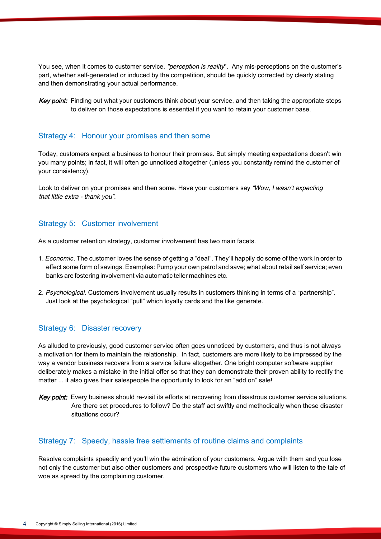You see, when it comes to customer service, "perception is reality". Any mis-perceptions on the customer's part, whether self-generated or induced by the competition, should be quickly corrected by clearly stating and then demonstrating your actual performance.

Key point: Finding out what your customers think about your service, and then taking the appropriate steps to deliver on those expectations is essential if you want to retain your customer base.

#### Strategy 4: Honour your promises and then some

Today, customers expect a business to honour their promises. But simply meeting expectations doesn't win you many points; in fact, it will often go unnoticed altogether (unless you constantly remind the customer of your consistency).

Look to deliver on your promises and then some. Have your customers say "Wow, I wasn't expecting that little extra - thank you".

#### Strategy 5: Customer involvement

As a customer retention strategy, customer involvement has two main facets.

- 1. Economic. The customer loves the sense of getting a "deal". They'll happily do some of the work in order to effect some form of savings. Examples: Pump your own petrol and save; what about retail self service; even banks are fostering involvement via automatic teller machines etc.
- 2. Psychological. Customers involvement usually results in customers thinking in terms of a "partnership". Just look at the psychological "pull" which loyalty cards and the like generate.

#### Strategy 6: Disaster recovery

As alluded to previously, good customer service often goes unnoticed by customers, and thus is not always a motivation for them to maintain the relationship. In fact, customers are more likely to be impressed by the way a vendor business recovers from a service failure altogether. One bright computer software supplier deliberately makes a mistake in the initial offer so that they can demonstrate their proven ability to rectify the matter ... it also gives their salespeople the opportunity to look for an "add on" sale!

Key point: Every business should re-visit its efforts at recovering from disastrous customer service situations. Are there set procedures to follow? Do the staff act swiftly and methodically when these disaster situations occur?

#### Strategy 7: Speedy, hassle free settlements of routine claims and complaints

Resolve complaints speedily and you'll win the admiration of your customers. Argue with them and you lose not only the customer but also other customers and prospective future customers who will listen to the tale of woe as spread by the complaining customer.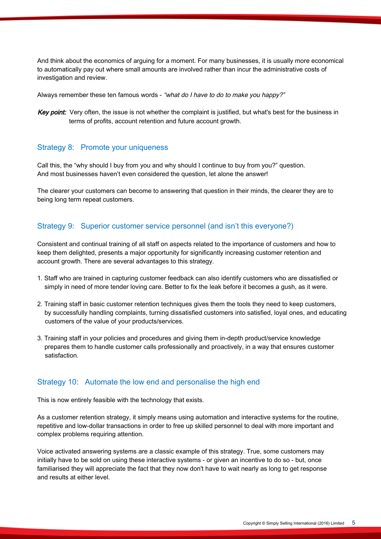And think about the economics of arguing for a moment. For many businesses, it is usually more economical to automatically pay out where small amounts are involved rather than incur the administrative costs of investigation and review.

Always remember these ten famous words - "what do I have to do to make you happy?"

Key point: Very often, the issue is not whether the complaint is justified, but what's best for the business in terms of profits, account retention and future account growth.

#### Strategy 8: Promote your uniqueness

Call this, the "why should I buy from you and why should I continue to buy from you?" question. And most businesses haven't even considered the question, let alone the answer!

The clearer your customers can become to answering that question in their minds, the clearer they are to being long term repeat customers.

#### Strategy 9: Superior customer service personnel (and isn't this everyone?)

Consistent and continual training of all staff on aspects related to the importance of customers and how to keep them delighted, presents a major opportunity for significantly increasing customer retention and account growth. There are several advantages to this strategy.

- 1. Staff who are trained in capturing customer feedback can also identify customers who are dissatisfied or simply in need of more tender loving care. Better to fix the leak before it becomes a gush, as it were .
- 2. Training staff in basic customer retention techniques gives them the tools they need to keep customers, by successfully handling complaints, turning dissatisfied customers into satisfied, loyal ones, and educating customers of the value of your products/services.
- 3. Training staff in your policies and procedures and giving them in-depth product/service knowledge prepares them to handle customer calls professionally and proactively, in a way that ensures customer satisfaction.

#### Strategy 10: Automate the low end and personalise the high end

This is now entirely feasible with the technology that exists.

As a customer retention strategy, it simply means using automation and interactive systems for the routine, repetitive and low-dollar transactions in order to free up skilled personnel to deal with more important and complex problems requiring attention.

Voice activated answering systems are a classic example of this strategy. True, some customers may initially have to be sold on using these interactive systems - or given an incentive to do so - but, once familiarised they will appreciate the fact that they now don't have to wait nearly as long to get response and results at either level.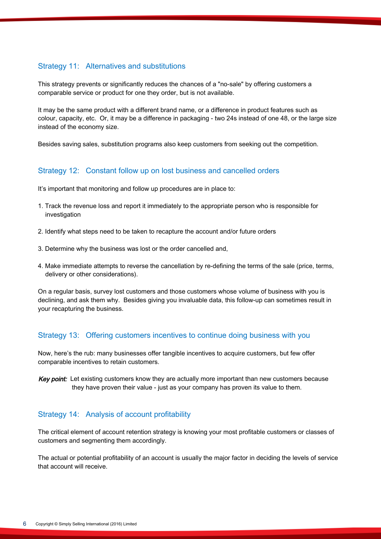## Strategy 11: Alternatives and substitutions

This strategy prevents or significantly reduces the chances of a "no-sale" by offering customers a comparable service or product for one they order, but is not available.

It may be the same product with a different brand name, or a difference in product features such as colour, capacity, etc. Or, it may be a difference in packaging - two 24s instead of one 48, or the large size instead of the economy size.

Besides saving sales, substitution programs also keep customers from seeking out the competition.

## Strategy 12: Constant follow up on lost business and cancelled orders

It's important that monitoring and follow up procedures are in place to:

- 1. Track the revenue loss and report it immediately to the appropriate person who is responsible for investigation
- 2. Identify what steps need to be taken to recapture the account and/or future orders
- 3. Determine why the business was lost or the order cancelled and,
- 4. Make immediate attempts to reverse the cancellation by re-defining the terms of the sale (price, terms, delivery or other considerations).

On a regular basis, survey lost customers and those customers whose volume of business with you is declining, and ask them why. Besides giving you invaluable data, this follow-up can sometimes result in your recapturing the business.

## Strategy 13: Offering customers incentives to continue doing business with you

Now, here's the rub: many businesses offer tangible incentives to acquire customers, but few offer comparable incentives to retain customers.

Key point: Let existing customers know they are actually more important than new customers because they have proven their value - just as your company has proven its value to them.

## Strategy 14: Analysis of account profitability

The critical element of account retention strategy is knowing your most profitable customers or classes of customers and segmenting them accordingly.

The actual or potential profitability of an account is usually the major factor in deciding the levels of service that account will receive.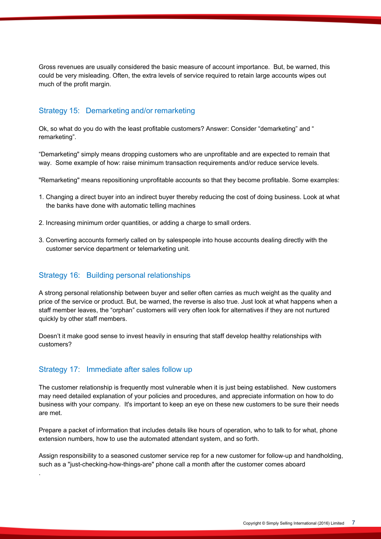Gross revenues are usually considered the basic measure of account importance. But, be warned, this could be very misleading. Often, the extra levels of service required to retain large accounts wipes out much of the profit margin.

#### Strategy 15: Demarketing and/or remarketing

Ok, so what do you do with the least profitable customers? Answer: Consider "demarketing" and " remarketing".

"Demarketing" simply means dropping customers who are unprofitable and are expected to remain that way. Some example of how: raise minimum transaction requirements and/or reduce service levels.

"Remarketing" means repositioning unprofitable accounts so that they become profitable. Some examples:

- 1. Changing a direct buyer into an indirect buyer thereby reducing the cost of doing business. Look at what the banks have done with automatic telling machines
- 2. Increasing minimum order quantities, or adding a charge to small orders.
- 3. Converting accounts formerly called on by salespeople into house accounts dealing directly with the customer service department or telemarketing unit.

#### Strategy 16: Building personal relationships

A strong personal relationship between buyer and seller often carries as much weight as the quality and price of the service or product. But, be warned, the reverse is also true. Just look at what happens when a staff member leaves, the "orphan" customers will very often look for alternatives if they are not nurtured quickly by other staff members.

Doesn't it make good sense to invest heavily in ensuring that staff develop healthy relationships with customers?

#### Strategy 17: Immediate after sales follow up

.

The customer relationship is frequently most vulnerable when it is just being established. New customers may need detailed explanation of your policies and procedures, and appreciate information on how to do business with your company. It's important to keep an eye on these new customers to be sure their needs are met.

Prepare a packet of information that includes details like hours of operation, who to talk to for what, phone extension numbers, how to use the automated attendant system, and so forth.

Assign responsibility to a seasoned customer service rep for a new customer for follow-up and handholding, such as a "just-checking-how-things-are" phone call a month after the customer comes aboard